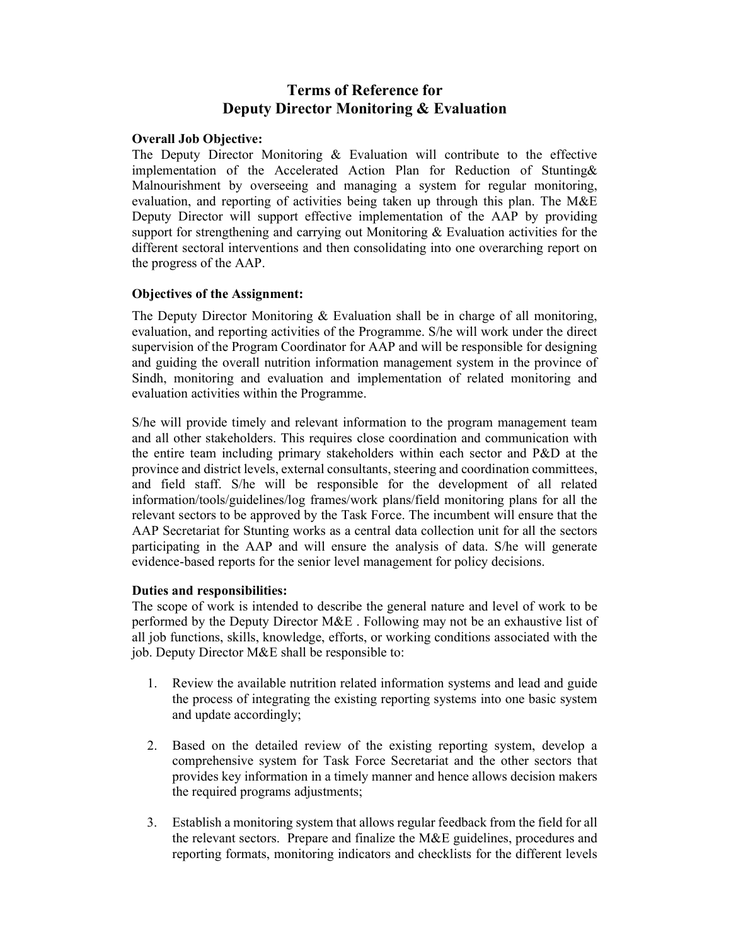# Terms of Reference for Deputy Director Monitoring & Evaluation

## Overall Job Objective:

The Deputy Director Monitoring & Evaluation will contribute to the effective implementation of the Accelerated Action Plan for Reduction of Stunting& Malnourishment by overseeing and managing a system for regular monitoring, evaluation, and reporting of activities being taken up through this plan. The M&E Deputy Director will support effective implementation of the AAP by providing support for strengthening and carrying out Monitoring  $\&$  Evaluation activities for the different sectoral interventions and then consolidating into one overarching report on the progress of the AAP.

## Objectives of the Assignment:

The Deputy Director Monitoring & Evaluation shall be in charge of all monitoring, evaluation, and reporting activities of the Programme. S/he will work under the direct supervision of the Program Coordinator for AAP and will be responsible for designing and guiding the overall nutrition information management system in the province of Sindh, monitoring and evaluation and implementation of related monitoring and evaluation activities within the Programme.

S/he will provide timely and relevant information to the program management team and all other stakeholders. This requires close coordination and communication with the entire team including primary stakeholders within each sector and P&D at the province and district levels, external consultants, steering and coordination committees, and field staff. S/he will be responsible for the development of all related information/tools/guidelines/log frames/work plans/field monitoring plans for all the relevant sectors to be approved by the Task Force. The incumbent will ensure that the AAP Secretariat for Stunting works as a central data collection unit for all the sectors participating in the AAP and will ensure the analysis of data. S/he will generate evidence-based reports for the senior level management for policy decisions.

## Duties and responsibilities:

The scope of work is intended to describe the general nature and level of work to be performed by the Deputy Director M&E . Following may not be an exhaustive list of all job functions, skills, knowledge, efforts, or working conditions associated with the job. Deputy Director M&E shall be responsible to:

- 1. Review the available nutrition related information systems and lead and guide the process of integrating the existing reporting systems into one basic system and update accordingly;
- 2. Based on the detailed review of the existing reporting system, develop a comprehensive system for Task Force Secretariat and the other sectors that provides key information in a timely manner and hence allows decision makers the required programs adjustments;
- 3. Establish a monitoring system that allows regular feedback from the field for all the relevant sectors. Prepare and finalize the M&E guidelines, procedures and reporting formats, monitoring indicators and checklists for the different levels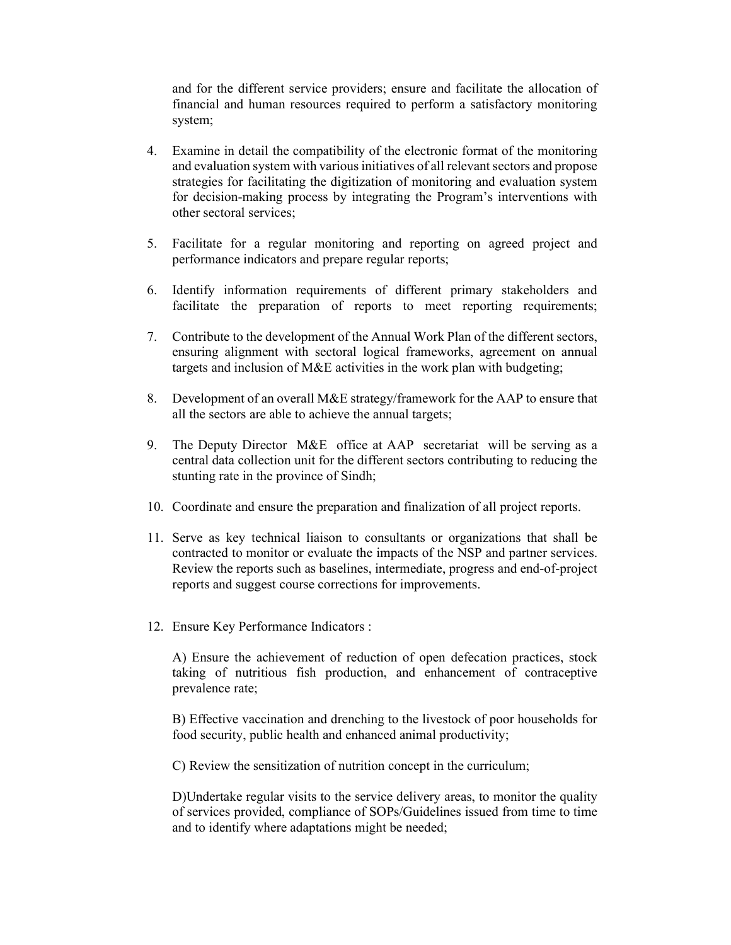and for the different service providers; ensure and facilitate the allocation of financial and human resources required to perform a satisfactory monitoring system;

- 4. Examine in detail the compatibility of the electronic format of the monitoring and evaluation system with various initiatives of all relevant sectors and propose strategies for facilitating the digitization of monitoring and evaluation system for decision-making process by integrating the Program's interventions with other sectoral services;
- 5. Facilitate for a regular monitoring and reporting on agreed project and performance indicators and prepare regular reports;
- 6. Identify information requirements of different primary stakeholders and facilitate the preparation of reports to meet reporting requirements;
- 7. Contribute to the development of the Annual Work Plan of the different sectors, ensuring alignment with sectoral logical frameworks, agreement on annual targets and inclusion of M&E activities in the work plan with budgeting;
- 8. Development of an overall M&E strategy/framework for the AAP to ensure that all the sectors are able to achieve the annual targets;
- 9. The Deputy Director M&E office at AAP secretariat will be serving as a central data collection unit for the different sectors contributing to reducing the stunting rate in the province of Sindh;
- 10. Coordinate and ensure the preparation and finalization of all project reports.
- 11. Serve as key technical liaison to consultants or organizations that shall be contracted to monitor or evaluate the impacts of the NSP and partner services. Review the reports such as baselines, intermediate, progress and end-of-project reports and suggest course corrections for improvements.
- 12. Ensure Key Performance Indicators :

A) Ensure the achievement of reduction of open defecation practices, stock taking of nutritious fish production, and enhancement of contraceptive prevalence rate;

B) Effective vaccination and drenching to the livestock of poor households for food security, public health and enhanced animal productivity;

C) Review the sensitization of nutrition concept in the curriculum;

D)Undertake regular visits to the service delivery areas, to monitor the quality of services provided, compliance of SOPs/Guidelines issued from time to time and to identify where adaptations might be needed;